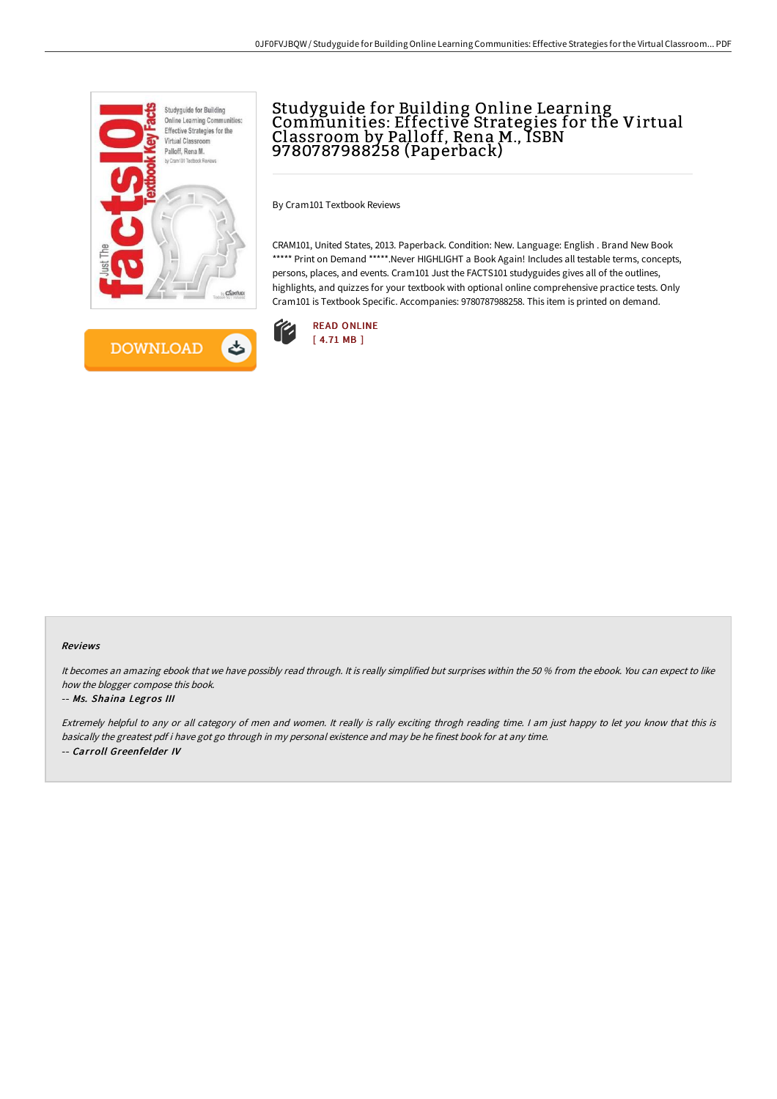



# Studyguide for Building Online Learning Communities: Effective Strategies for the Virtual Classroom by Palloff, Rena M., ISBN 9780787988258 (Paperback)

By Cram101 Textbook Reviews

CRAM101, United States, 2013. Paperback. Condition: New. Language: English . Brand New Book \*\*\*\*\* Print on Demand \*\*\*\*\*.Never HIGHLIGHT a Book Again! Includes all testable terms, concepts, persons, places, and events. Cram101 Just the FACTS101 studyguides gives all of the outlines, highlights, and quizzes for your textbook with optional online comprehensive practice tests. Only Cram101 is Textbook Specific. Accompanies: 9780787988258. This item is printed on demand.



#### Reviews

It becomes an amazing ebook that we have possibly read through. It is really simplified but surprises within the 50 % from the ebook. You can expect to like how the blogger compose this book.

### -- Ms. Shaina Legros III

Extremely helpful to any or all category of men and women. It really is rally exciting throgh reading time. <sup>I</sup> am just happy to let you know that this is basically the greatest pdf i have got go through in my personal existence and may be he finest book for at any time. -- Carroll Greenfelder IV